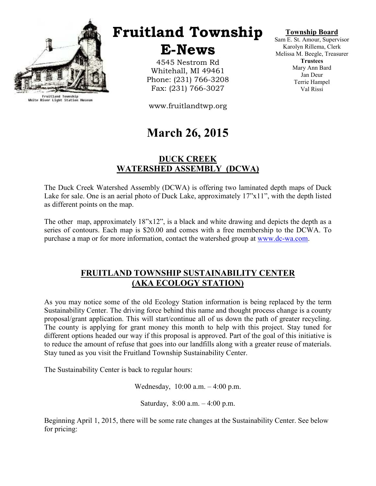

Fruitland Township<br>White River Light Station Museum

# Fruitland Township

E-News

4545 Nestrom Rd Whitehall, MI 49461 Phone: (231) 766-3208 Fax: (231) 766-3027

www.fruitlandtwp.org

# March 26, 2015

# DUCK CREEK WATERSHED ASSEMBLY (DCWA)

The Duck Creek Watershed Assembly (DCWA) is offering two laminated depth maps of Duck Lake for sale. One is an aerial photo of Duck Lake, approximately 17"x11", with the depth listed as different points on the map.

The other map, approximately  $18"x12"$ , is a black and white drawing and depicts the depth as a series of contours. Each map is \$20.00 and comes with a free membership to the DCWA. To purchase a map or for more information, contact the watershed group at www.dc-wa.com.

# FRUITLAND TOWNSHIP SUSTAINABILITY CENTER (AKA ECOLOGY STATION)

As you may notice some of the old Ecology Station information is being replaced by the term Sustainability Center. The driving force behind this name and thought process change is a county proposal/grant application. This will start/continue all of us down the path of greater recycling. The county is applying for grant money this month to help with this project. Stay tuned for different options headed our way if this proposal is approved. Part of the goal of this initiative is to reduce the amount of refuse that goes into our landfills along with a greater reuse of materials. Stay tuned as you visit the Fruitland Township Sustainability Center.

The Sustainability Center is back to regular hours:

Wednesday, 10:00 a.m. – 4:00 p.m.

Saturday, 8:00 a.m. – 4:00 p.m.

Beginning April 1, 2015, there will be some rate changes at the Sustainability Center. See below for pricing:

### Township Board

Sam E. St. Amour, Supervisor Karolyn Rillema, Clerk Melissa M. Beegle, Treasurer **Trustees** Mary Ann Bard Jan Deur Terrie Hampel Val Rissi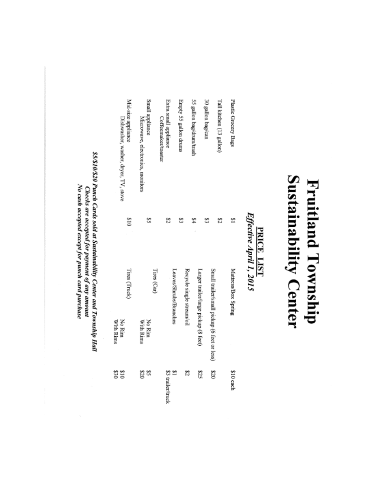# Sustainability Center **Fruitland Township**

# **PRICE LIST**<br>Effective April 1, 2015

| Plastic Grocery Bags                 | $\approx$      | Mattress/Box Spring                         |                     | fl0 cach             |
|--------------------------------------|----------------|---------------------------------------------|---------------------|----------------------|
| Tall kitchen (13 gallon)             | 13             |                                             |                     |                      |
|                                      |                | Small trailer/small pickup (6 feet or less) |                     | 820                  |
| 30 gallon bag/can                    | జ              | Larger trailer/large pickup (8 feet)        |                     | S2                   |
| 55 gallon bag/drum/trash             |                |                                             |                     |                      |
|                                      |                | Recycle single stream/oil                   |                     | 3                    |
| Empty 55 gallon drums                | S              | Leaves/Shrubs/Branches                      |                     | Ľ                    |
| Extra small appliance                | 3              |                                             |                     | \$3 trailer/truck    |
| <b>Coffeemaker/toaster</b>           |                | Tires (Car)                                 |                     |                      |
| Small appliance                      | s,             |                                             | No Rim              | S,                   |
| Microwave, electronics, monitors     |                |                                             | With Rims           | g                    |
| Mid-size appliance                   | $\frac{8}{21}$ | Tires (Truck)                               |                     |                      |
| Dishwasher, washer, dryer, TV, stove |                |                                             | No Rim<br>With Rims | g<br>$\frac{8}{210}$ |
|                                      |                |                                             |                     |                      |

# S.5810/820 Punch Cards sold at Sustainability Center and Township Hall<br>Checks are accepted for payment of any amount<br>No cash accepted except for punch card purchase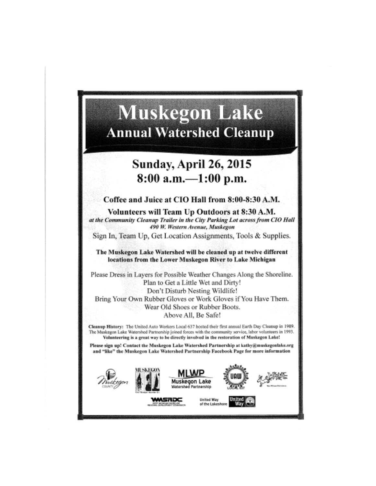# **Muskegon Lake Annual Watershed Cleanup**

# **Sunday, April 26, 2015**  $8:00$  a.m. -1:00 p.m.

Coffee and Juice at CIO Hall from 8:00-8:30 A.M.

Volunteers will Team Up Outdoors at 8:30 A.M. at the Community Cleanup Trailer in the City Parking Lot across from CIO Hall 490 W. Western Avenue, Muskegon

Sign In, Team Up, Get Location Assignments, Tools & Supplies.

The Muskegon Lake Watershed will be cleaned up at twelve different locations from the Lower Muskegon River to Lake Michigan

Please Dress in Layers for Possible Weather Changes Along the Shoreline. Plan to Get a Little Wet and Dirty! Don't Disturb Nesting Wildlife! Bring Your Own Rubber Gloves or Work Gloves if You Have Them. Wear Old Shoes or Rubber Boots. Above All, Be Safe!

Cleanup History: The United Auto Workers Local 637 hosted their first annual Earth Day Cleanup in 1989. The Muskegon Lake Watershed Partnership joined forces with the community service, labor volunteers in 1993. Volunteering is a great way to be directly involved in the restoration of Muskegon Lake!

Please sign up! Contnet the Muskegon Lake Watershed Partnership at kathy@muskegonlake.org and "like" the Muskegon Lake Watershed Partnership Facebook Page for more information

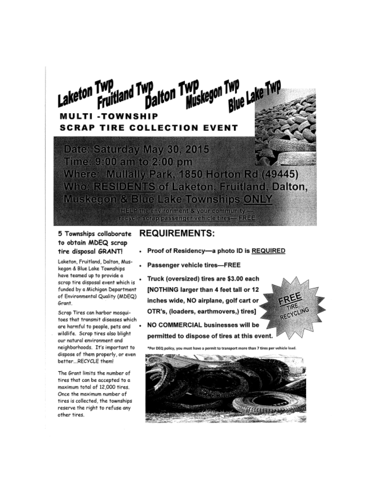Blue Lake Twp Laketon TWP TWP<br>Fruitland Twp<br>Dalton Twp Muskegon Twp **MULTI-TOWNSHIP SCRAP TIRE COLLECTION EVENT** 

Date: Saturday May 30, 2015 Time: 9:00 am to 2:00 pm Where: Mullally Park, 1850 Horton Rd (49445) Who: RESIDENTS of Laketon, Fruitland, Dalton, Muskegon & Blue Lake Townships ONLY HELP the environment & your community recycle sorap passenger vehicle tires-FREE

### 5 Townships collaborate to obtain MDEQ scrap tire disposal GRANT!

Laketon, Fruitland, Dalton, Muskegon & Blue Lake Townships have teamed up to provide a scrap tire disposal event which is funded by a Michigan Department of Environmental Quality (MDEQ) Grant.

Scrap Tires can harbor mosquitoes that transmit diseases which are harmful to people, pets and wildlife. Scrap tires also blight our natural environment and neighborhoods. It's important to dispose of them properly, or even better...RECYCLE them!

The Grant limits the number of tires that can be accepted to a maximum total of 12,000 tires. Once the maximum number of tires is collected, the townships reserve the right to refuse any other tires.

## **REQUIREMENTS:**

- Proof of Residency-a photo ID is REQUIRED
- Passenger vehicle tires-FREE
- Truck (oversized) tires are \$3.00 each [NOTHING larger than 4 feet tall or 12 inches wide, NO airplane, golf cart or OTR's, (loaders, earthmovers,) tires]

NO COMMERCIAL businesses will be permitted to dispose of tires at this event.

DEQ policy, you must have a permit to transport more than 7 tires per vehicle load